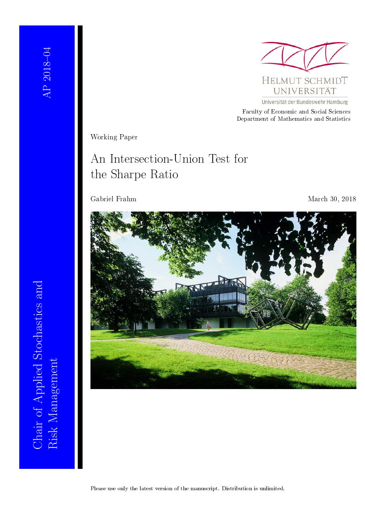

Universität der Bundeswehr Hamburg

Faculty of Economic and Social Sciences Department of Mathematics and Statistics

Working Paper

# An Intersection-Union Test for the Sharpe Ratio

Gabriel Frahm March 30, 2018



Risk Management<br>Risk Management Chair of Applied Stochastics and Chair of Applied Stochastics and Risk Management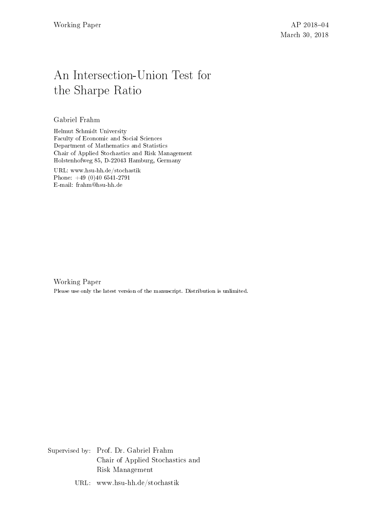# An Intersection-Union Test for the Sharpe Ratio

Gabriel Frahm

Helmut Schmidt University Faculty of Economic and Social Sciences Department of Mathematics and Statistics Chair of Applied Stochastics and Risk Management Holstenhofweg 85, D-22043 Hamburg, Germany

URL: www.hsu-hh.de/stochastik Phone: +49 (0)40 6541-2791 E-mail: frahm@hsu-hh.de

Working Paper Please use only the latest version of the manuscript. Distribution is unlimited.

Supervised by: Prof. Dr. Gabriel Frahm Chair of Applied Stochastics and Risk Management

URL: www.hsu-hh.de/stochastik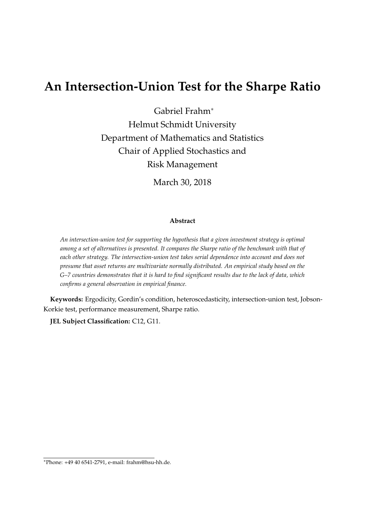## **An Intersection-Union Test for the Sharpe Ratio**

Gabriel Frahm<sup>∗</sup>

Helmut Schmidt University Department of Mathematics and Statistics Chair of Applied Stochastics and Risk Management

March 30, 2018

#### **Abstract**

*An intersection-union test for supporting the hypothesis that a given investment strategy is optimal among a set of alternatives is presented. It compares the Sharpe ratio of the benchmark with that of each other strategy. The intersection-union test takes serial dependence into account and does not presume that asset returns are multivariate normally distributed. An empirical study based on the G–7 countries demonstrates that it is hard to find significant results due to the lack of data, which confirms a general observation in empirical finance.*

**Keywords:** Ergodicity, Gordin's condition, heteroscedasticity, intersection-union test, Jobson-Korkie test, performance measurement, Sharpe ratio.

**JEL Subject Classification:** C12, G11.

<sup>∗</sup>Phone: +49 40 6541-2791, e-mail: frahm@hsu-hh.de.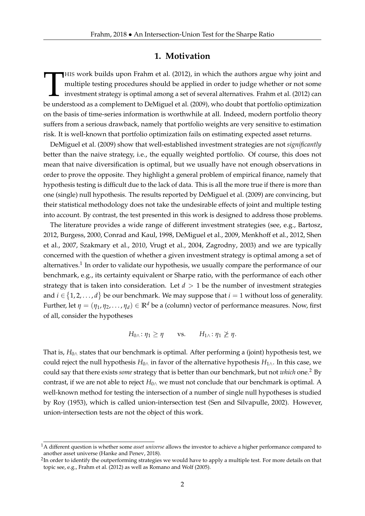#### **1. Motivation**

HIS work builds upon Frahm et al. (2012), in which the authors argue why joint and multiple testing procedures should be applied in order to judge whether or not some investment strategy is optimal among a set of several a HIS work builds upon Frahm et al. (2012), in which the authors argue why joint and multiple testing procedures should be applied in order to judge whether or not some investment strategy is optimal among a set of several alternatives. Frahm et al. (2012) can on the basis of time-series information is worthwhile at all. Indeed, modern portfolio theory suffers from a serious drawback, namely that portfolio weights are very sensitive to estimation risk. It is well-known that portfolio optimization fails on estimating expected asset returns.

DeMiguel et al. (2009) show that well-established investment strategies are not *significantly* better than the naive strategy, i.e., the equally weighted portfolio. Of course, this does not mean that naive diversification is optimal, but we usually have not enough observations in order to prove the opposite. They highlight a general problem of empirical finance, namely that hypothesis testing is difficult due to the lack of data. This is all the more true if there is more than one (single) null hypothesis. The results reported by DeMiguel et al. (2009) are convincing, but their statistical methodology does not take the undesirable effects of joint and multiple testing into account. By contrast, the test presented in this work is designed to address those problems.

The literature provides a wide range of different investment strategies (see, e.g., Bartosz, 2012, Burgess, 2000, Conrad and Kaul, 1998, DeMiguel et al., 2009, Menkhoff et al., 2012, Shen et al., 2007, Szakmary et al., 2010, Vrugt et al., 2004, Zagrodny, 2003) and we are typically concerned with the question of whether a given investment strategy is optimal among a set of alternatives.<sup>1</sup> In order to validate our hypothesis, we usually compare the performance of our benchmark, e.g., its certainty equivalent or Sharpe ratio, with the performance of each other strategy that is taken into consideration. Let  $d > 1$  be the number of investment strategies and  $i \in \{1, 2, ..., d\}$  be our benchmark. We may suppose that  $i = 1$  without loss of generality. Further, let  $\eta = (\eta_1, \eta_2, \dots, \eta_d) \in \mathbb{R}^d$  be a (column) vector of performance measures. Now, first of all, consider the hypotheses

$$
H_{0\wedge} : \eta_1 \ge \eta \qquad \text{vs.} \qquad H_{1\wedge} : \eta_1 \ngeq \eta.
$$

That is,  $H_{0\wedge}$  states that our benchmark is optimal. After performing a (joint) hypothesis test, we could reject the null hypothesis *H*<sub>0∧</sub> in favor of the alternative hypothesis *H*<sub>1∧</sub>. In this case, we could say that there exists *some* strategy that is better than our benchmark, but not *which* one.<sup>2</sup> By contrast, if we are not able to reject *H*0<sup>∧</sup> we must not conclude that our benchmark is optimal. A well-known method for testing the intersection of a number of single null hypotheses is studied by Roy (1953), which is called union-intersection test (Sen and Silvapulle, 2002). However, union-intersection tests are not the object of this work.

<sup>1</sup>A different question is whether some *asset universe* allows the investor to achieve a higher performance compared to another asset universe (Hanke and Penev, 2018).

 $^2$ In order to identify the outperforming strategies we would have to apply a multiple test. For more details on that topic see, e.g., Frahm et al. (2012) as well as Romano and Wolf (2005).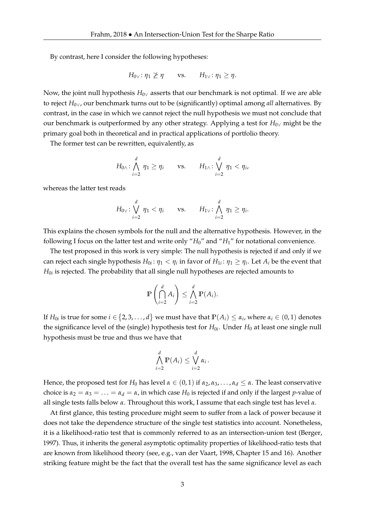By contrast, here I consider the following hypotheses:

$$
H_{0\vee}
$$
:  $\eta_1 \not\geq \eta$  vs.  $H_{1\vee}$ :  $\eta_1 \geq \eta$ .

Now, the joint null hypothesis *H*0<sup>∨</sup> asserts that our benchmark is not optimal. If we are able to reject *H*0∨, our benchmark turns out to be (significantly) optimal among *all* alternatives. By contrast, in the case in which we cannot reject the null hypothesis we must not conclude that our benchmark is outperformed by any other strategy. Applying a test for  $H_{0\vee}$  might be the primary goal both in theoretical and in practical applications of portfolio theory.

The former test can be rewritten, equivalently, as

$$
H_{0\wedge} : \bigwedge_{i=2}^d \eta_1 \geq \eta_i \qquad \text{vs.} \qquad H_{1\wedge} : \bigvee_{i=2}^d \eta_1 < \eta_i,
$$

whereas the latter test reads

$$
H_{0\vee} \colon \bigvee_{i=2}^d \eta_1 < \eta_i \quad \text{vs.} \quad H_{1\vee} \colon \bigwedge_{i=2}^d \eta_1 \geq \eta_i.
$$

This explains the chosen symbols for the null and the alternative hypothesis. However, in the following I focus on the latter test and write only "*H*0" and "*H*1" for notational convenience.

The test proposed in this work is very simple: The null hypothesis is rejected if and only if we can reject each single hypothesis  $H_{0i}$ :  $\eta_1 < \eta_i$  in favor of  $H_{1i}$ :  $\eta_1 \ge \eta_i$ . Let  $A_i$  be the event that  $H_{0i}$  is rejected. The probability that all single null hypotheses are rejected amounts to

$$
\mathbb{P}\left(\bigcap_{i=2}^d A_i\right) \leq \bigwedge_{i=2}^d \mathbb{P}(A_i).
$$

If  $H_{0i}$  is true for some  $i \in \{2,3,\ldots,d\}$  we must have that  $\mathbb{P}(A_i) \leq \alpha_i$ , where  $\alpha_i \in (0,1)$  denotes the significance level of the (single) hypothesis test for  $H_{0i}$ . Under  $H_0$  at least one single null hypothesis must be true and thus we have that

$$
\bigwedge_{i=2}^d \mathbb{P}(A_i) \leq \bigvee_{i=2}^d \alpha_i.
$$

Hence, the proposed test for *H*<sub>0</sub> has level  $\alpha \in (0,1)$  if  $\alpha_2, \alpha_3, \ldots, \alpha_d \leq \alpha$ . The least conservative choice is  $\alpha_2 = \alpha_3 = \ldots = \alpha_d = \alpha$ , in which case  $H_0$  is rejected if and only if the largest *p*-value of all single tests falls below *α*. Throughout this work, I assume that each single test has level *α*.

At first glance, this testing procedure might seem to suffer from a lack of power because it does not take the dependence structure of the single test statistics into account. Nonetheless, it is a likelihood-ratio test that is commonly referred to as an intersection-union test (Berger, 1997). Thus, it inherits the general asymptotic optimality properties of likelihood-ratio tests that are known from likelihood theory (see, e.g., van der Vaart, 1998, Chapter 15 and 16). Another striking feature might be the fact that the overall test has the same significance level as each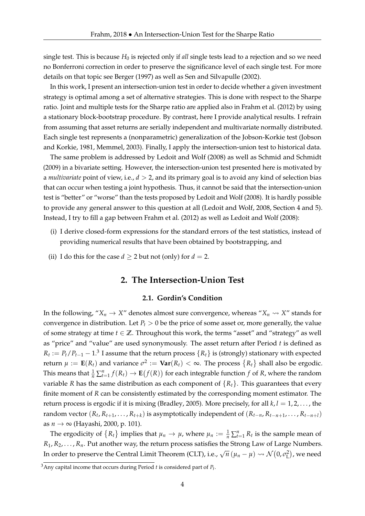single test. This is because  $H_0$  is rejected only if *all* single tests lead to a rejection and so we need no Bonferroni correction in order to preserve the significance level of each single test. For more details on that topic see Berger (1997) as well as Sen and Silvapulle (2002).

In this work, I present an intersection-union test in order to decide whether a given investment strategy is optimal among a set of alternative strategies. This is done with respect to the Sharpe ratio. Joint and multiple tests for the Sharpe ratio are applied also in Frahm et al. (2012) by using a stationary block-bootstrap procedure. By contrast, here I provide analytical results. I refrain from assuming that asset returns are serially independent and multivariate normally distributed. Each single test represents a (nonparametric) generalization of the Jobson-Korkie test (Jobson and Korkie, 1981, Memmel, 2003). Finally, I apply the intersection-union test to historical data.

The same problem is addressed by Ledoit and Wolf (2008) as well as Schmid and Schmidt (2009) in a bivariate setting. However, the intersection-union test presented here is motivated by a *multivariate* point of view, i.e., *d* > 2, and its primary goal is to avoid any kind of selection bias that can occur when testing a joint hypothesis. Thus, it cannot be said that the intersection-union test is "better" or "worse" than the tests proposed by Ledoit and Wolf (2008). It is hardly possible to provide any general answer to this question at all (Ledoit and Wolf, 2008, Section 4 and 5). Instead, I try to fill a gap between Frahm et al. (2012) as well as Ledoit and Wolf (2008):

- (i) I derive closed-form expressions for the standard errors of the test statistics, instead of providing numerical results that have been obtained by bootstrapping, and
- (ii) I do this for the case  $d \ge 2$  but not (only) for  $d = 2$ .

#### **2. The Intersection-Union Test**

#### **2.1. Gordin's Condition**

In the following, " $X_n \to X$ " denotes almost sure convergence, whereas " $X_n \rightsquigarrow X$ " stands for convergence in distribution. Let  $P_t > 0$  be the price of some asset or, more generally, the value of some strategy at time  $t \in \mathbb{Z}$ . Throughout this work, the terms "asset" and "strategy" as well as "price" and "value" are used synonymously. The asset return after Period *t* is defined as  $R_t := P_t/P_{t-1} - 1.3$  I assume that the return process  $\{R_t\}$  is (strongly) stationary with expected return  $\mu := \mathbf{E}(R_t)$  and variance  $\sigma^2 := \mathbf{Var}(R_t) < \infty$ . The process  $\{R_t\}$  shall also be ergodic. This means that  $\frac{1}{n} \sum_{t=1}^{n} f(R_t) \to \mathbf{E}(f(R))$  for each integrable function  $f$  of  $R$ , where the random variable *R* has the same distribution as each component of  ${R<sub>t</sub>}$ . This guarantees that every finite moment of *R* can be consistently estimated by the corresponding moment estimator. The return process is ergodic if it is mixing (Bradley, 2005). More precisely, for all *k*, *l* = 1, 2, . . . , the random vector  $(R_t, R_{t+1}, \ldots, R_{t+k})$  is asymptotically independent of  $(R_{t-n}, R_{t-n+1}, \ldots, R_{t-n+l})$ as *n* → ∞ (Hayashi, 2000, p. 101).

The ergodicity of  $\{R_t\}$  implies that  $\mu_n \to \mu$ , where  $\mu_n := \frac{1}{n} \sum_{t=1}^n R_t$  is the sample mean of *R*1, *R*2, . . . , *Rn*. Put another way, the return process satisfies the Strong Law of Large Numbers. In order to preserve the Central Limit Theorem (CLT), i.e.,  $\sqrt{n} (\mu_n - \mu) \rightsquigarrow \mathcal{N}(0, \sigma_{\text{L}}^2)$ , we need

 $^3$ Any capital income that occurs during Period *t* is considered part of  $P_t$ .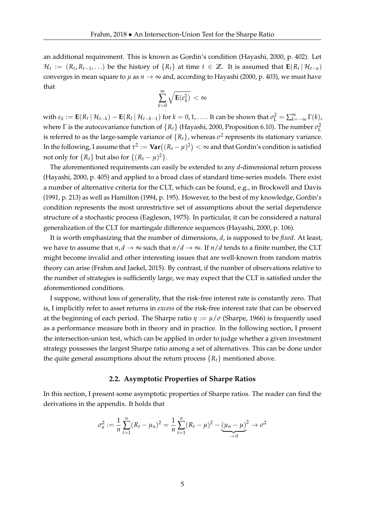an additional requirement. This is known as Gordin's condition (Hayashi, 2000, p. 402). Let  $\mathcal{H}_t := (R_t, R_{t-1}, \ldots)$  be the history of  $\{R_t\}$  at time  $t \in \mathbb{Z}$ . It is assumed that  $\mathbf{E}(R_t | \mathcal{H}_{t-n})$ converges in mean square to  $\mu$  as  $n \to \infty$  and, according to Hayashi (2000, p. 403), we must have that

$$
\sum_{k=0}^\infty \sqrt{\mathbf{E}(\varepsilon_k^2)}\;<\infty
$$

 $\text{with } \varepsilon_k := \mathbf{E}(R_t | \mathcal{H}_{t-k}) - \mathbf{E}(R_t | \mathcal{H}_{t-k-1}) \text{ for } k = 0, 1, \ldots.$  It can be shown that  $\sigma_L^2 = \sum_{k=-\infty}^{\infty} \Gamma(k)$ , where  $\Gamma$  is the autocovariance function of  $\{R_t\}$  (Hayashi, 2000, Proposition 6.10). The number  $\sigma_{\text{L}}^2$ is referred to as the large-sample variance of  $\{R_t\}$ , whereas  $\sigma^2$  represents its stationary variance. In the following, I assume that  $\tau^2 := \textbf{Var}\big((R_t-\mu)^2\big)<\infty$  and that Gordin's condition is satisfied not only for  $\{R_t\}$  but also for  $\{(R_t - \mu)^2\}$ .

The aforementioned requirements can easily be extended to any *d*-dimensional return process (Hayashi, 2000, p. 405) and applied to a broad class of standard time-series models. There exist a number of alternative criteria for the CLT, which can be found, e.g., in Brockwell and Davis (1991, p. 213) as well as Hamilton (1994, p. 195). However, to the best of my knowledge, Gordin's condition represents the most unrestrictive set of assumptions about the serial dependence structure of a stochastic process (Eagleson, 1975). In particular, it can be considered a natural generalization of the CLT for martingale difference sequences (Hayashi, 2000, p. 106).

It is worth emphasizing that the number of dimensions, *d*, is supposed to be *fixed*. At least, we have to assume that  $n, d \rightarrow \infty$  such that  $n/d \rightarrow \infty$ . If  $n/d$  tends to a finite number, the CLT might become invalid and other interesting issues that are well-known from random matrix theory can arise (Frahm and Jaekel, 2015). By contrast, if the number of observations relative to the number of strategies is sufficiently large, we may expect that the CLT is satisfied under the aforementioned conditions.

I suppose, without loss of generality, that the risk-free interest rate is constantly zero. That is, I implicitly refer to asset returns in *excess* of the risk-free interest rate that can be observed at the beginning of each period. The Sharpe ratio  $\eta := \mu/\sigma$  (Sharpe, 1966) is frequently used as a performance measure both in theory and in practice. In the following section, I present the intersection-union test, which can be applied in order to judge whether a given investment strategy possesses the largest Sharpe ratio among a set of alternatives. This can be done under the quite general assumptions about the return process  ${R<sub>t</sub>}$  mentioned above.

#### **2.2. Asymptotic Properties of Sharpe Ratios**

In this section, I present some asymptotic properties of Sharpe ratios. The reader can find the derivations in the appendix. It holds that

$$
\sigma_n^2 := \frac{1}{n} \sum_{t=1}^n (R_t - \mu_n)^2 = \frac{1}{n} \sum_{t=1}^n (R_t - \mu)^2 - \underbrace{(\mu_n - \mu)^2}_{\to 0} \to \sigma^2
$$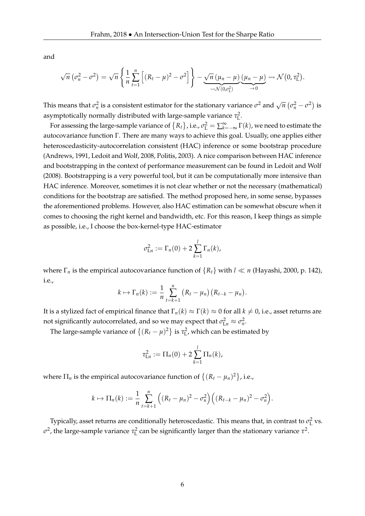and

$$
\sqrt{n} \left( \sigma_n^2 - \sigma^2 \right) = \sqrt{n} \left\{ \frac{1}{n} \sum_{t=1}^n \left[ (R_t - \mu)^2 - \sigma^2 \right] \right\} - \underbrace{\sqrt{n} \left( \mu_n - \mu \right)}_{\sim \mathcal{N}(0, \sigma_L^2)} \underbrace{(\mu_n - \mu)}_{\rightarrow 0} \sim \mathcal{N}(0, \tau_L^2).
$$

This means that  $\sigma_n^2$  is a consistent estimator for the stationary variance  $\sigma^2$  and  $\sqrt{n}$   $(\sigma_n^2 - \sigma^2)$  is asymptotically normally distributed with large-sample variance  $\tau_L^2$ .

For assessing the large-sample variance of  $\{R_t\}$ , i.e.,  $\sigma_L^2 = \sum_{k=-\infty}^{\infty} \Gamma(k)$ , we need to estimate the autocovariance function Γ. There are many ways to achieve this goal. Usually, one applies either heteroscedasticity-autocorrelation consistent (HAC) inference or some bootstrap procedure (Andrews, 1991, Ledoit and Wolf, 2008, Politis, 2003). A nice comparison between HAC inference and bootstrapping in the context of performance measurement can be found in Ledoit and Wolf (2008). Bootstrapping is a very powerful tool, but it can be computationally more intensive than HAC inference. Moreover, sometimes it is not clear whether or not the necessary (mathematical) conditions for the bootstrap are satisfied. The method proposed here, in some sense, bypasses the aforementioned problems. However, also HAC estimation can be somewhat obscure when it comes to choosing the right kernel and bandwidth, etc. For this reason, I keep things as simple as possible, i.e., I choose the box-kernel-type HAC-estimator

$$
\sigma_{\text{L}n}^2 := \Gamma_n(0) + 2 \sum_{k=1}^l \Gamma_n(k),
$$

where  $\Gamma_n$  is the empirical autocovariance function of  $\{R_t\}$  with  $l \ll n$  (Hayashi, 2000, p. 142), i.e.,

$$
k \mapsto \Gamma_n(k) := \frac{1}{n} \sum_{t=k+1}^n (R_t - \mu_n) (R_{t-k} - \mu_n).
$$

It is a stylized fact of empirical finance that  $\Gamma_n(k) \approx \Gamma(k) \approx 0$  for all  $k \neq 0$ , i.e., asset returns are not significantly autocorrelated, and so we may expect that  $\sigma_{\text{L}n}^2 \approx \sigma_n^2$ .

The large-sample variance of  $\{(R_t - \mu)^2\}$  is  $\tau_L^2$ , which can be estimated by

$$
\tau_{\text{L}n}^2 := \Pi_n(0) + 2 \sum_{k=1}^l \Pi_n(k),
$$

where  $\Pi_n$  is the empirical autocovariance function of  $\left\{ (R_t - \mu_n)^2 \right\}$ , i.e.,

$$
k \mapsto \Pi_n(k) := \frac{1}{n} \sum_{t=k+1}^n \left( (R_t - \mu_n)^2 - \sigma_n^2 \right) \left( (R_{t-k} - \mu_n)^2 - \sigma_n^2 \right).
$$

Typically, asset returns are conditionally heteroscedastic. This means that, in contrast to  $\sigma_{\rm L}^2$  vs.  $\sigma$ <sup>2</sup>, the large-sample variance  $\tau$ <sup>2</sup> can be significantly larger than the stationary variance  $\tau$ <sup>2</sup>.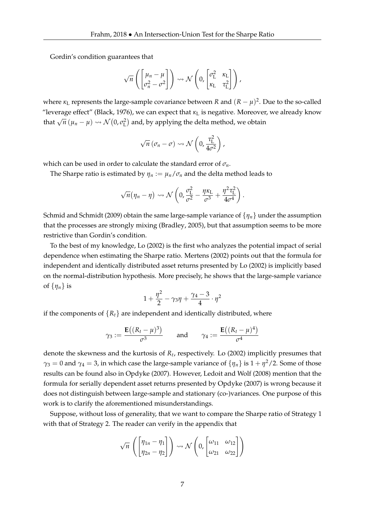Gordin's condition guarantees that

$$
\sqrt{n}\left(\begin{bmatrix} \mu_n-\mu \\ \sigma_n^2-\sigma^2 \end{bmatrix}\right) \rightsquigarrow \mathcal{N}\left(0, \begin{bmatrix} \sigma_L^2 & \kappa_L \\ \kappa_L & \tau_L^2 \end{bmatrix}\right),
$$

where  $\kappa_L$  represents the large-sample covariance between *R* and  $(R - \mu)^2$ . Due to the so-called "leverage effect" (Black, 1976), we can expect that  $\kappa_L$  is negative. Moreover, we already know that  $\sqrt{n}$  ( $\mu_n - \mu$ )  $\rightsquigarrow$   $\mathcal{N}(0, \sigma_{\text{L}}^2)$  and, by applying the delta method, we obtain

$$
\sqrt{n} \left( \sigma_n - \sigma \right) \rightsquigarrow \mathcal{N} \left( 0, \frac{\tau_{\rm L}^2}{4\sigma^2} \right),
$$

which can be used in order to calculate the standard error of *σn*.

The Sharpe ratio is estimated by  $\eta_n := \mu_n / \sigma_n$  and the delta method leads to

$$
\sqrt{n}(\eta_n-\eta) \rightsquigarrow \mathcal{N}\left(0, \frac{\sigma_{\rm L}^2}{\sigma^2}-\frac{\eta\kappa_{\rm L}}{\sigma^3}+\frac{\eta^2\tau_{\rm L}^2}{4\sigma^4}\right).
$$

Schmid and Schmidt (2009) obtain the same large-sample variance of {*ηn*} under the assumption that the processes are strongly mixing (Bradley, 2005), but that assumption seems to be more restrictive than Gordin's condition.

To the best of my knowledge, Lo (2002) is the first who analyzes the potential impact of serial dependence when estimating the Sharpe ratio. Mertens (2002) points out that the formula for independent and identically distributed asset returns presented by Lo (2002) is implicitly based on the normal-distribution hypothesis. More precisely, he shows that the large-sample variance of  $\{\eta_n\}$  is

$$
1+\frac{\eta^2}{2}-\gamma_3\eta+\frac{\gamma_4-3}{4}\cdot\eta^2
$$

if the components of  ${R_t}$  are independent and identically distributed, where

$$
\gamma_3 := \frac{\mathbf{E}((R_t - \mu)^3)}{\sigma^3} \quad \text{and} \quad \gamma_4 := \frac{\mathbf{E}((R_t - \mu)^4)}{\sigma^4}
$$

denote the skewness and the kurtosis of *R<sup>t</sup>* , respectively. Lo (2002) implicitly presumes that  $\gamma_3 = 0$  and  $\gamma_4 = 3$ , in which case the large-sample variance of  $\{\eta_n\}$  is  $1 + \eta^2/2$ . Some of those results can be found also in Opdyke (2007). However, Ledoit and Wolf (2008) mention that the formula for serially dependent asset returns presented by Opdyke (2007) is wrong because it does not distinguish between large-sample and stationary (co-)variances. One purpose of this work is to clarify the aforementioned misunderstandings.

Suppose, without loss of generality, that we want to compare the Sharpe ratio of Strategy 1 with that of Strategy 2. The reader can verify in the appendix that

$$
\sqrt{n}\left(\begin{bmatrix} \eta_{1n} - \eta_1 \\ \eta_{2n} - \eta_2 \end{bmatrix}\right) \rightsquigarrow \mathcal{N}\left(0, \begin{bmatrix} \omega_{11} & \omega_{12} \\ \omega_{21} & \omega_{22} \end{bmatrix}\right)
$$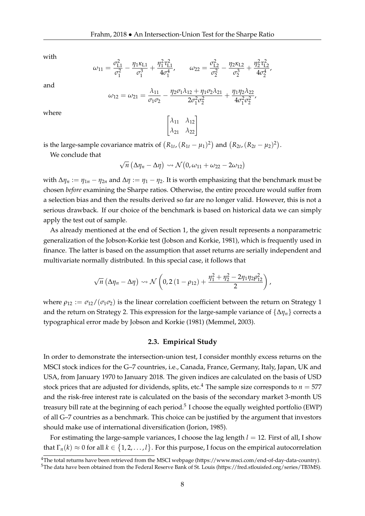with

and

where

$$
\omega_{11} = \frac{\sigma_{L1}^2}{\sigma_1^2} - \frac{\eta_1 \kappa_{L1}}{\sigma_1^3} + \frac{\eta_1^2 \tau_{L1}^2}{4\sigma_1^4}, \qquad \omega_{22} = \frac{\sigma_{L2}^2}{\sigma_2^2} - \frac{\eta_2 \kappa_{L2}}{\sigma_2^3} + \frac{\eta_2^2 \tau_{L2}^2}{4\sigma_2^4},
$$

$$
\omega_{12} = \omega_{21} = \frac{\lambda_{11}}{\sigma_1 \sigma_2} - \frac{\eta_2 \sigma_1 \lambda_{12} + \eta_1 \sigma_2 \lambda_{21}}{2\sigma_1^2 \sigma_2^2} + \frac{\eta_1 \eta_2 \lambda_{22}}{4\sigma_1^2 \sigma_2^2},
$$

$$
\begin{bmatrix} \lambda_{11} & \lambda_{12} \\ \lambda_{21} & \lambda_{22} \end{bmatrix}
$$

is the large-sample covariance matrix of  $(R_{1t}, (R_{1t} - \mu_1)^2)$  and  $(R_{2t}, (R_{2t} - \mu_2)^2)$ .

We conclude that

√  $\overline{n}$  ( $\Delta \eta_n - \Delta \eta$ )  $\leadsto \mathcal{N}(0, \omega_{11} + \omega_{22} - 2\omega_{12})$ 

with  $\Delta \eta_n := \eta_{1n} - \eta_{2n}$  and  $\Delta \eta := \eta_1 - \eta_2$ . It is worth emphasizing that the benchmark must be chosen *before* examining the Sharpe ratios. Otherwise, the entire procedure would suffer from a selection bias and then the results derived so far are no longer valid. However, this is not a serious drawback. If our choice of the benchmark is based on historical data we can simply apply the test out of sample.

As already mentioned at the end of Section 1, the given result represents a nonparametric generalization of the Jobson-Korkie test (Jobson and Korkie, 1981), which is frequently used in finance. The latter is based on the assumption that asset returns are serially independent and multivariate normally distributed. In this special case, it follows that

$$
\sqrt{n}\left(\Delta\eta_n-\Delta\eta\right)\rightsquigarrow\mathcal{N}\left(0,2\left(1-\rho_{12}\right)+\frac{\eta_1^2+\eta_2^2-2\eta_1\eta_2\rho_{12}^2}{2}\right),
$$

where  $\rho_{12} := \sigma_{12}/(\sigma_1\sigma_2)$  is the linear correlation coefficient between the return on Strategy 1 and the return on Strategy 2. This expression for the large-sample variance of {∆*ηn*} corrects a typographical error made by Jobson and Korkie (1981) (Memmel, 2003).

#### **2.3. Empirical Study**

In order to demonstrate the intersection-union test, I consider monthly excess returns on the MSCI stock indices for the G–7 countries, i.e., Canada, France, Germany, Italy, Japan, UK and USA, from January 1970 to January 2018. The given indices are calculated on the basis of USD stock prices that are adjusted for dividends, splits, etc.<sup>4</sup> The sample size corresponds to  $n = 577$ and the risk-free interest rate is calculated on the basis of the secondary market 3-month US treasury bill rate at the beginning of each period. $^5$  I choose the equally weighted portfolio (EWP) of all G–7 countries as a benchmark. This choice can be justified by the argument that investors should make use of international diversification (Jorion, 1985).

For estimating the large-sample variances, I choose the lag length  $l = 12$ . First of all, I show that  $\Gamma_n(k) \approx 0$  for all  $k \in \{1, 2, \ldots, l\}$ . For this purpose, I focus on the empirical autocorrelation

<sup>&</sup>lt;sup>4</sup>The total returns have been retrieved from the MSCI webpage (https://www.msci.com/end-of-day-data-country). <sup>5</sup>The data have been obtained from the Federal Reserve Bank of St. Louis (https://fred.stlouisfed.org/series/TB3MS).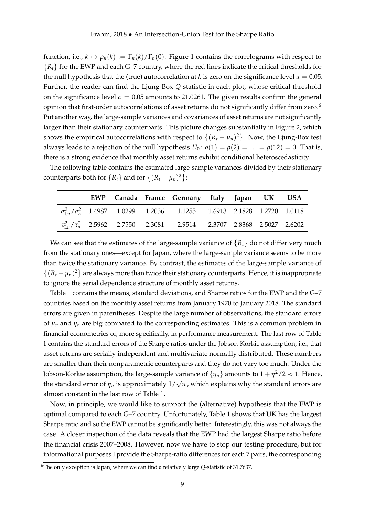function, i.e.,  $k \mapsto \rho_n(k) := \Gamma_n(k)/\Gamma_n(0)$ . Figure 1 contains the correlograms with respect to  ${R<sub>t</sub>}$  for the EWP and each G–7 country, where the red lines indicate the critical thresholds for the null hypothesis that the (true) autocorrelation at *k* is zero on the significance level  $\alpha = 0.05$ . Further, the reader can find the Ljung-Box *Q*-statistic in each plot, whose critical threshold on the significance level  $\alpha = 0.05$  amounts to 21.0261. The given results confirm the general opinion that first-order autocorrelations of asset returns do not significantly differ from zero.<sup>6</sup> Put another way, the large-sample variances and covariances of asset returns are not significantly larger than their stationary counterparts. This picture changes substantially in Figure 2, which shows the empirical autocorrelations with respect to  $\{(R_t - \mu_n)^2\}$ . Now, the Ljung-Box test always leads to a rejection of the null hypothesis  $H_0: \rho(1) = \rho(2) = \ldots = \rho(12) = 0$ . That is, there is a strong evidence that monthly asset returns exhibit conditional heteroscedasticity.

The following table contains the estimated large-sample variances divided by their stationary counterparts both for  $\{R_t\}$  and for  $\{(R_t - \mu_n)^2\}$ :

|  |  | EWP Canada France Germany Italy Japan UK USA                                           |  |  |
|--|--|----------------------------------------------------------------------------------------|--|--|
|  |  | $\sigma_{1n}^2/\sigma_n^2$ 1.4987 1.0299 1.2036 1.1255 1.6913 2.1828 1.2720 1.0118     |  |  |
|  |  | $\tau_{\text{L}_n}^2/\tau_n^2$ 2.5962 2.7550 2.3081 2.9514 2.3707 2.8368 2.5027 2.6202 |  |  |

We can see that the estimates of the large-sample variance of  ${R_t}$  do not differ very much from the stationary ones—except for Japan, where the large-sample variance seems to be more than twice the stationary variance. By contrast, the estimates of the large-sample variance of  $\{(R_t - \mu_n)^2\}$  are always more than twice their stationary counterparts. Hence, it is inappropriate to ignore the serial dependence structure of monthly asset returns.

Table 1 contains the means, standard deviations, and Sharpe ratios for the EWP and the G–7 countries based on the monthly asset returns from January 1970 to January 2018. The standard errors are given in parentheses. Despite the large number of observations, the standard errors of  $\mu_n$  and  $\eta_n$  are big compared to the corresponding estimates. This is a common problem in financial econometrics or, more specifically, in performance measurement. The last row of Table 1 contains the standard errors of the Sharpe ratios under the Jobson-Korkie assumption, i.e., that asset returns are serially independent and multivariate normally distributed. These numbers are smaller than their nonparametric counterparts and they do not vary too much. Under the Jobson-Korkie assumption, the large-sample variance of  $\{\eta_n\}$  amounts to  $1 + \eta^2/2 \approx 1$ . Hence, the standard error of  $\eta_n$  is approximately  $1/\sqrt{n}$  , which explains why the standard errors are almost constant in the last row of Table 1.

Now, in principle, we would like to support the (alternative) hypothesis that the EWP is optimal compared to each G–7 country. Unfortunately, Table 1 shows that UK has the largest Sharpe ratio and so the EWP cannot be significantly better. Interestingly, this was not always the case. A closer inspection of the data reveals that the EWP had the largest Sharpe ratio before the financial crisis 2007–2008. However, now we have to stop our testing procedure, but for informational purposes I provide the Sharpe-ratio differences for each 7 pairs, the corresponding

<sup>6</sup>The only exception is Japan, where we can find a relatively large *Q*-statistic of 31.7637.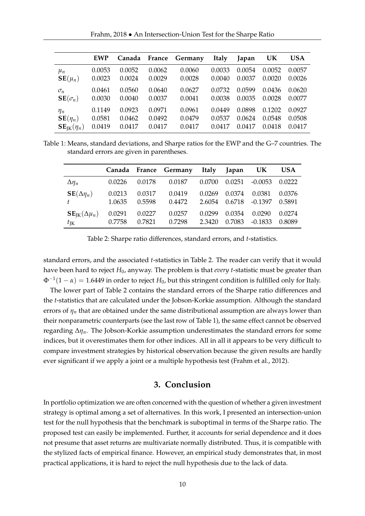Frahm, 2018 • An Intersection-Union Test for the Sharpe Ratio

|                                     | <b>EWP</b> | Canada | France | Germany | <b>Italy</b> | Japan  | UK     | <b>USA</b> |
|-------------------------------------|------------|--------|--------|---------|--------------|--------|--------|------------|
| $\mu_n$                             | 0.0053     | 0.0052 | 0.0062 | 0.0060  | 0.0033       | 0.0054 | 0.0052 | 0.0057     |
| $\mathbf{SE}(\mu_n)$                | 0.0023     | 0.0024 | 0.0029 | 0.0028  | 0.0040       | 0.0037 | 0.0020 | 0.0026     |
| $\sigma_n$                          | 0.0461     | 0.0560 | 0.0640 | 0.0627  | 0.0732       | 0.0599 | 0.0436 | 0.0620     |
| $SE(\sigma_n)$                      | 0.0030     | 0.0040 | 0.0037 | 0.0041  | 0.0038       | 0.0035 | 0.0028 | 0.0077     |
| $\eta_n$                            | 0.1149     | 0.0923 | 0.0971 | 0.0961  | 0.0449       | 0.0898 | 0.1202 | 0.0927     |
| $\mathbf{SE}(\eta_n)$               | 0.0581     | 0.0462 | 0.0492 | 0.0479  | 0.0537       | 0.0624 | 0.0548 | 0.0508     |
| $\mathbf{SE}_{\mathrm{IK}}(\eta_n)$ | 0.0419     | 0.0417 | 0.0417 | 0.0417  | 0.0417       | 0.0417 | 0.0418 | 0.0417     |

Table 1: Means, standard deviations, and Sharpe ratios for the EWP and the G–7 countries. The standard errors are given in parentheses.

|                                         |        |        | Canada France Germany Italy Japan UK |        |        |           | <b>USA</b> |
|-----------------------------------------|--------|--------|--------------------------------------|--------|--------|-----------|------------|
| $\Delta\eta_n$                          | 0.0226 | 0.0178 | 0.0187                               | 0.0700 | 0.0251 | $-0.0053$ | 0.0222     |
| $\mathbf{SE}(\Delta \eta_n)$            | 0.0213 | 0.0317 | 0.0419                               | 0.0269 | 0.0374 | 0.0381    | 0.0376     |
|                                         | 1.0635 | 0.5598 | 0.4472                               | 2.6054 | 0.6718 | -0.1397   | 0.5891     |
| $\mathbf{SE}_{\text{IK}}(\Delta \mu_n)$ | 0.0291 | 0.0227 | 0.0257                               | 0.0299 | 0.0354 | 0.0290    | 0.0274     |
| $t_{\rm IK}$                            | 0.7758 | 0.7821 | 0.7298                               | 2.3420 | 0.7083 | -0.1833   | 0.8089     |

Table 2: Sharpe ratio differences, standard errors, and *t*-statistics.

standard errors, and the associated *t*-statistics in Table 2. The reader can verify that it would have been hard to reject *H*0, anyway. The problem is that *every t*-statistic must be greater than Φ−<sup>1</sup> (1 − *α*) = 1.6449 in order to reject *H*0, but this stringent condition is fulfilled only for Italy.

The lower part of Table 2 contains the standard errors of the Sharpe ratio differences and the *t*-statistics that are calculated under the Jobson-Korkie assumption. Although the standard errors of  $\eta_n$  that are obtained under the same distributional assumption are always lower than their nonparametric counterparts (see the last row of Table 1), the same effect cannot be observed regarding ∆*ηn*. The Jobson-Korkie assumption underestimates the standard errors for some indices, but it overestimates them for other indices. All in all it appears to be very difficult to compare investment strategies by historical observation because the given results are hardly ever significant if we apply a joint or a multiple hypothesis test (Frahm et al., 2012).

#### **3. Conclusion**

In portfolio optimization we are often concerned with the question of whether a given investment strategy is optimal among a set of alternatives. In this work, I presented an intersection-union test for the null hypothesis that the benchmark is suboptimal in terms of the Sharpe ratio. The proposed test can easily be implemented. Further, it accounts for serial dependence and it does not presume that asset returns are multivariate normally distributed. Thus, it is compatible with the stylized facts of empirical finance. However, an empirical study demonstrates that, in most practical applications, it is hard to reject the null hypothesis due to the lack of data.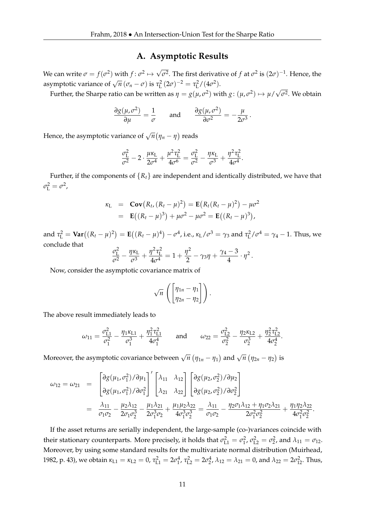#### **A. Asymptotic Results**

We can write  $\sigma = f(\sigma^2)$  with  $f: \sigma^2 \mapsto \sqrt{\sigma^2}$ . The first derivative of  $f$  at  $\sigma^2$  is  $(2\sigma)^{-1}$ . Hence, the asymptotic variance of  $\sqrt{n} (\sigma_n - \sigma)$  is  $\tau_{\rm L}^2 (2\sigma)^{-2} = \tau_{\rm L}^2 / (4\sigma^2)$ . √

Further, the Sharpe ratio can be written as  $\eta = g(\mu, \sigma^2)$  with  $g: (\mu, \sigma^2) \mapsto \mu$ / *σ* 2 . We obtain

.

$$
\frac{\partial g(\mu, \sigma^2)}{\partial \mu} = \frac{1}{\sigma} \quad \text{and} \quad \frac{\partial g(\mu, \sigma^2)}{\partial \sigma^2} = -\frac{\mu}{2\sigma^3}
$$

Hence, the asymptotic variance of  $\sqrt{n}(\eta_n - \eta)$  reads

$$
\frac{\sigma_{\rm L}^2}{\sigma^2} - 2 \cdot \frac{\mu \kappa_{\rm L}}{2\sigma^4} + \frac{\mu^2 \tau_{\rm L}^2}{4\sigma^6} = \frac{\sigma_{\rm L}^2}{\sigma^2} - \frac{\eta \kappa_{\rm L}}{\sigma^3} + \frac{\eta^2 \tau_{\rm L}^2}{4\sigma^4}.
$$

Further, if the components of  ${R_t}$  are independent and identically distributed, we have that  $\sigma_{\rm L}^2 = \sigma^2$ ,

$$
\kappa_{L} = \mathbf{Cov}(R_{t}, (R_{t} - \mu)^{2}) = \mathbf{E}(R_{t}(R_{t} - \mu)^{2}) - \mu\sigma^{2}
$$
  
=  $\mathbf{E}((R_{t} - \mu)^{3}) + \mu\sigma^{2} - \mu\sigma^{2} = \mathbf{E}((R_{t} - \mu)^{3}),$ 

and  $\tau_{\rm L}^2 = \text{Var}((R_t - \mu)^2) = \textbf{E}((R_t - \mu)^4) - \sigma^4$ , i.e.,  $\kappa_{\rm L}/\sigma^3 = \gamma_3$  and  $\tau_{\rm L}^2/\sigma^4 = \gamma_4 - 1$ . Thus, we conclude that

$$
\frac{\sigma_{\rm L}^2}{\sigma^2} - \frac{\eta \kappa_{\rm L}}{\sigma^3} + \frac{\eta^2 \tau_{\rm L}^2}{4\sigma^4} = 1 + \frac{\eta^2}{2} - \gamma_3 \eta + \frac{\gamma_4 - 3}{4} \cdot \eta^2.
$$

Now, consider the asymptotic covariance matrix of

$$
\sqrt{n}\,\left(\begin{bmatrix}\eta_{1n}-\eta_1\\\eta_{2n}-\eta_2\end{bmatrix}\right).
$$

The above result immediately leads to

$$
\omega_{11} = \frac{\sigma_{L1}^2}{\sigma_1^2} - \frac{\eta_1 \kappa_{L1}}{\sigma_1^3} + \frac{\eta_1^2 \tau_{L1}^2}{4\sigma_1^4} \quad \text{and} \quad \omega_{22} = \frac{\sigma_{L2}^2}{\sigma_2^2} - \frac{\eta_2 \kappa_{L2}}{\sigma_2^3} + \frac{\eta_2^2 \tau_{L2}^2}{4\sigma_2^4}.
$$

Moreover, the asymptotic covariance between  $\sqrt{n} (\eta_{1n} - \eta_1)$  and  $\sqrt{n} (\eta_{2n} - \eta_2)$  is

$$
\omega_{12} = \omega_{21} = \begin{bmatrix} \frac{\partial g(\mu_1, \sigma_1^2)}{\partial q(\mu_1, \sigma_1^2)} / \frac{\partial \mu_1}{\partial \sigma_1^2} \end{bmatrix}^T \begin{bmatrix} \lambda_{11} & \lambda_{12} \\ \lambda_{21} & \lambda_{22} \end{bmatrix} \begin{bmatrix} \frac{\partial g(\mu_2, \sigma_2^2)}{\partial q(\mu_2, \sigma_2^2)} / \frac{\partial \mu_2}{\partial \sigma_2^2} \end{bmatrix}
$$
  
= 
$$
\frac{\lambda_{11}}{\sigma_1 \sigma_2} - \frac{\mu_2 \lambda_{12}}{2 \sigma_1 \sigma_2^3} - \frac{\mu_1 \lambda_{21}}{2 \sigma_1^3 \sigma_2} + \frac{\mu_1 \mu_2 \lambda_{22}}{4 \sigma_1^3 \sigma_2^3} = \frac{\lambda_{11}}{\sigma_1 \sigma_2} - \frac{\eta_2 \sigma_1 \lambda_{12} + \eta_1 \sigma_2 \lambda_{21}}{2 \sigma_1^2 \sigma_2^2} + \frac{\eta_1 \eta_2 \lambda_{22}}{4 \sigma_1^2 \sigma_2^2}.
$$

If the asset returns are serially independent, the large-sample (co-)variances coincide with their stationary counterparts. More precisely, it holds that  $\sigma_{L1}^2 = \sigma_1^2$ ,  $\sigma_{L2}^2 = \sigma_2^2$ , and  $\lambda_{11} = \sigma_{12}$ . Moreover, by using some standard results for the multivariate normal distribution (Muirhead, 1982, p. 43), we obtain  $κ_{L1} = κ_{L2} = 0$ ,  $τ_{L1}^2 = 2σ_1^4$ ,  $τ_{L2}^2 = 2σ_2^4$ ,  $λ_{12} = λ_{21} = 0$ , and  $λ_{22} = 2σ_{12}^2$ . Thus,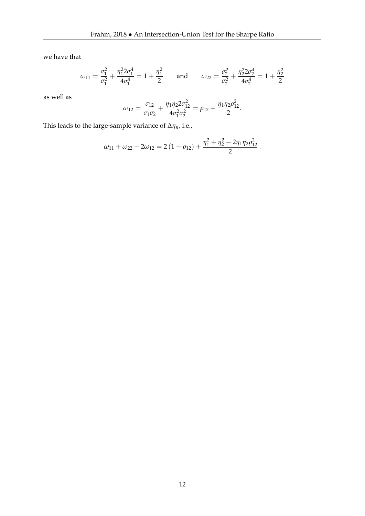we have that

$$
\omega_{11} = \frac{\sigma_1^2}{\sigma_1^2} + \frac{\eta_1^2 2\sigma_1^4}{4\sigma_1^4} = 1 + \frac{\eta_1^2}{2} \quad \text{and} \quad \omega_{22} = \frac{\sigma_2^2}{\sigma_2^2} + \frac{\eta_2^2 2\sigma_2^4}{4\sigma_2^4} = 1 + \frac{\eta_2^2}{2}
$$

as well as

$$
\omega_{12} = \frac{\sigma_{12}}{\sigma_1 \sigma_2} + \frac{\eta_1 \eta_2 2 \sigma_{12}^2}{4 \sigma_1^2 \sigma_2^2} = \rho_{12} + \frac{\eta_1 \eta_2 \rho_{12}^2}{2}.
$$

This leads to the large-sample variance of ∆*ηn*, i.e.,

$$
\omega_{11} + \omega_{22} - 2\omega_{12} = 2(1 - \rho_{12}) + \frac{\eta_1^2 + \eta_2^2 - 2\eta_1\eta_2\rho_{12}^2}{2}.
$$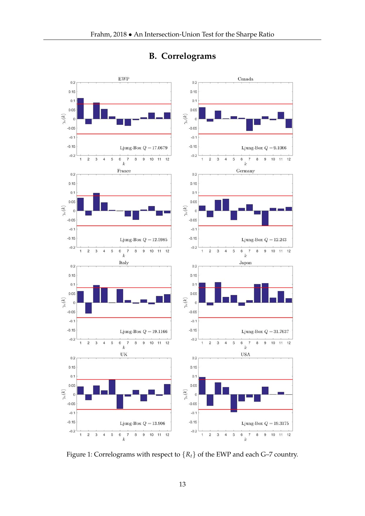

### **B. Correlograms**

Figure 1: Correlograms with respect to  ${R_t}$  of the EWP and each G–7 country.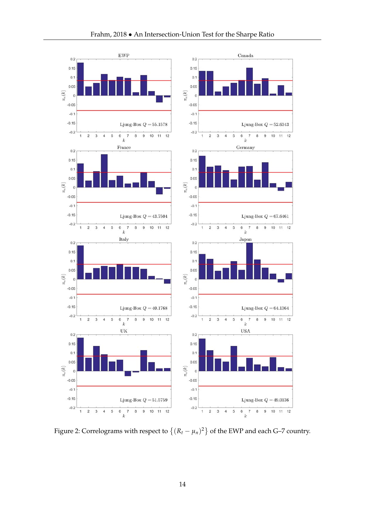

 $\,$  8 9

> $\overline{9}$  $10$  $11 \t12$

> > $10$  $11 \t12$

 $\overline{8}$ 

 $\overline{7}$ 

 $\overline{\mathcal{L}}$ 8 9

> $^{\rm 8}$  $\,9$

 $10$  11 12

10 11 12

Figure 2: Correlograms with respect to  $\{(R_t - \mu_n)^2\}$  of the EWP and each G–7 country.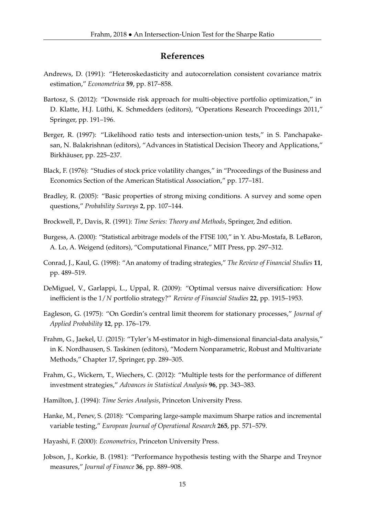#### **References**

- Andrews, D. (1991): "Heteroskedasticity and autocorrelation consistent covariance matrix estimation," *Econometrica* **59**, pp. 817–858.
- Bartosz, S. (2012): "Downside risk approach for multi-objective portfolio optimization," in D. Klatte, H.J. Lüthi, K. Schmedders (editors), "Operations Research Proceedings 2011," Springer, pp. 191–196.
- Berger, R. (1997): "Likelihood ratio tests and intersection-union tests," in S. Panchapakesan, N. Balakrishnan (editors), "Advances in Statistical Decision Theory and Applications," Birkhäuser, pp. 225–237.
- Black, F. (1976): "Studies of stock price volatility changes," in "Proceedings of the Business and Economics Section of the American Statistical Association," pp. 177–181.
- Bradley, R. (2005): "Basic properties of strong mixing conditions. A survey and some open questions," *Probability Surveys* **2**, pp. 107–144.
- Brockwell, P., Davis, R. (1991): *Time Series: Theory and Methods*, Springer, 2nd edition.
- Burgess, A. (2000): "Statistical arbitrage models of the FTSE 100," in Y. Abu-Mostafa, B. LeBaron, A. Lo, A. Weigend (editors), "Computational Finance," MIT Press, pp. 297–312.
- Conrad, J., Kaul, G. (1998): "An anatomy of trading strategies," *The Review of Financial Studies* **11**, pp. 489–519.
- DeMiguel, V., Garlappi, L., Uppal, R. (2009): "Optimal versus naive diversification: How inefficient is the 1/*N* portfolio strategy?" *Review of Financial Studies* **22**, pp. 1915–1953.
- Eagleson, G. (1975): "On Gordin's central limit theorem for stationary processes," *Journal of Applied Probability* **12**, pp. 176–179.
- Frahm, G., Jaekel, U. (2015): "Tyler's M-estimator in high-dimensional financial-data analysis," in K. Nordhausen, S. Taskinen (editors), "Modern Nonparametric, Robust and Multivariate Methods," Chapter 17, Springer, pp. 289–305.
- Frahm, G., Wickern, T., Wiechers, C. (2012): "Multiple tests for the performance of different investment strategies," *Advances in Statistical Analysis* **96**, pp. 343–383.
- Hamilton, J. (1994): *Time Series Analysis*, Princeton University Press.
- Hanke, M., Penev, S. (2018): "Comparing large-sample maximum Sharpe ratios and incremental variable testing," *European Journal of Operational Research* **265**, pp. 571–579.
- Hayashi, F. (2000): *Econometrics*, Princeton University Press.
- Jobson, J., Korkie, B. (1981): "Performance hypothesis testing with the Sharpe and Treynor measures," *Journal of Finance* **36**, pp. 889–908.